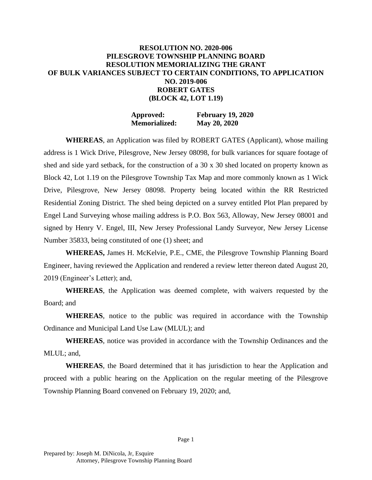## **RESOLUTION NO. 2020-006 PILESGROVE TOWNSHIP PLANNING BOARD RESOLUTION MEMORIALIZING THE GRANT OF BULK VARIANCES SUBJECT TO CERTAIN CONDITIONS, TO APPLICATION NO. 2019-006 ROBERT GATES (BLOCK 42, LOT 1.19)**

**Approved: February 19, 2020 Memorialized: May 20, 2020**

**WHEREAS**, an Application was filed by ROBERT GATES (Applicant), whose mailing address is 1 Wick Drive, Pilesgrove, New Jersey 08098, for bulk variances for square footage of shed and side yard setback, for the construction of a 30 x 30 shed located on property known as Block 42, Lot 1.19 on the Pilesgrove Township Tax Map and more commonly known as 1 Wick Drive, Pilesgrove, New Jersey 08098. Property being located within the RR Restricted Residential Zoning District. The shed being depicted on a survey entitled Plot Plan prepared by Engel Land Surveying whose mailing address is P.O. Box 563, Alloway, New Jersey 08001 and signed by Henry V. Engel, III, New Jersey Professional Landy Surveyor, New Jersey License Number 35833, being constituted of one (1) sheet; and

**WHEREAS,** James H. McKelvie, P.E., CME, the Pilesgrove Township Planning Board Engineer, having reviewed the Application and rendered a review letter thereon dated August 20, 2019 (Engineer's Letter); and,

**WHEREAS**, the Application was deemed complete, with waivers requested by the Board; and

**WHEREAS**, notice to the public was required in accordance with the Township Ordinance and Municipal Land Use Law (MLUL); and

**WHEREAS**, notice was provided in accordance with the Township Ordinances and the MLUL; and,

**WHEREAS**, the Board determined that it has jurisdiction to hear the Application and proceed with a public hearing on the Application on the regular meeting of the Pilesgrove Township Planning Board convened on February 19, 2020; and,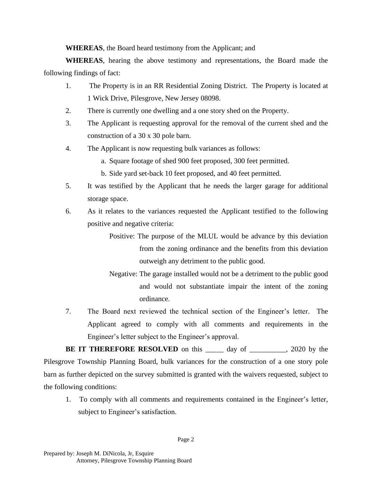**WHEREAS**, the Board heard testimony from the Applicant; and

**WHEREAS**, hearing the above testimony and representations, the Board made the following findings of fact:

- 1. The Property is in an RR Residential Zoning District. The Property is located at 1 Wick Drive, Pilesgrove, New Jersey 08098.
- 2. There is currently one dwelling and a one story shed on the Property.
- 3. The Applicant is requesting approval for the removal of the current shed and the construction of a 30 x 30 pole barn.
- 4. The Applicant is now requesting bulk variances as follows:
	- a. Square footage of shed 900 feet proposed, 300 feet permitted.
	- b. Side yard set-back 10 feet proposed, and 40 feet permitted.
- 5. It was testified by the Applicant that he needs the larger garage for additional storage space.
- 6. As it relates to the variances requested the Applicant testified to the following positive and negative criteria:
	- Positive: The purpose of the MLUL would be advance by this deviation from the zoning ordinance and the benefits from this deviation outweigh any detriment to the public good.
	- Negative: The garage installed would not be a detriment to the public good and would not substantiate impair the intent of the zoning ordinance.
- 7. The Board next reviewed the technical section of the Engineer's letter. The Applicant agreed to comply with all comments and requirements in the Engineer's letter subject to the Engineer's approval.

**BE IT THEREFORE RESOLVED** on this <u>equal</u> day of <u>equal</u>, 2020 by the Pilesgrove Township Planning Board, bulk variances for the construction of a one story pole barn as further depicted on the survey submitted is granted with the waivers requested, subject to the following conditions:

1. To comply with all comments and requirements contained in the Engineer's letter, subject to Engineer's satisfaction.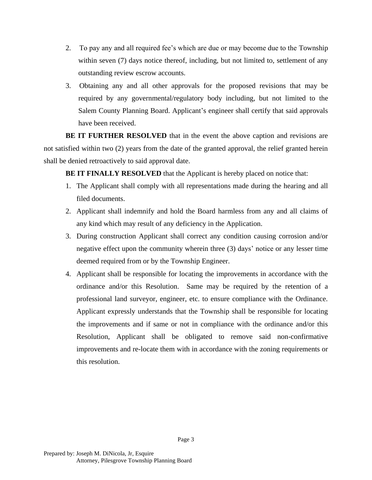- 2. To pay any and all required fee's which are due or may become due to the Township within seven (7) days notice thereof, including, but not limited to, settlement of any outstanding review escrow accounts.
- 3. Obtaining any and all other approvals for the proposed revisions that may be required by any governmental/regulatory body including, but not limited to the Salem County Planning Board. Applicant's engineer shall certify that said approvals have been received.

**BE IT FURTHER RESOLVED** that in the event the above caption and revisions are not satisfied within two (2) years from the date of the granted approval, the relief granted herein shall be denied retroactively to said approval date.

**BE IT FINALLY RESOLVED** that the Applicant is hereby placed on notice that:

- 1. The Applicant shall comply with all representations made during the hearing and all filed documents.
- 2. Applicant shall indemnify and hold the Board harmless from any and all claims of any kind which may result of any deficiency in the Application.
- 3. During construction Applicant shall correct any condition causing corrosion and/or negative effect upon the community wherein three (3) days' notice or any lesser time deemed required from or by the Township Engineer.
- 4. Applicant shall be responsible for locating the improvements in accordance with the ordinance and/or this Resolution. Same may be required by the retention of a professional land surveyor, engineer, etc. to ensure compliance with the Ordinance. Applicant expressly understands that the Township shall be responsible for locating the improvements and if same or not in compliance with the ordinance and/or this Resolution, Applicant shall be obligated to remove said non-confirmative improvements and re-locate them with in accordance with the zoning requirements or this resolution.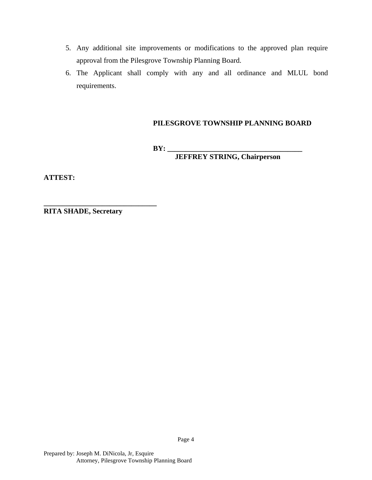- 5. Any additional site improvements or modifications to the approved plan require approval from the Pilesgrove Township Planning Board.
- 6. The Applicant shall comply with any and all ordinance and MLUL bond requirements.

## **PILESGROVE TOWNSHIP PLANNING BOARD**

**BY: \_\_\_\_\_\_\_\_\_\_\_\_\_\_\_\_\_\_\_\_\_\_\_\_\_\_\_\_\_\_\_\_\_\_\_\_\_**

**JEFFREY STRING, Chairperson**

**ATTEST:**

**RITA SHADE, Secretary**

**\_\_\_\_\_\_\_\_\_\_\_\_\_\_\_\_\_\_\_\_\_\_\_\_\_\_\_\_\_\_\_**